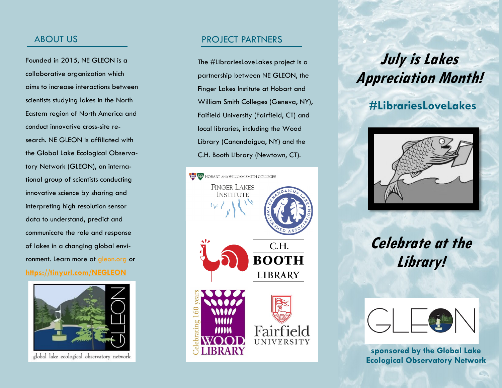## ABOUT US

Founded in 2015, NE GLEON is a collaborative organization which aims to increase interactions between scientists studying lakes in the North Eastern region of North America and conduct innovative cross-site research. NE GLEON is affiliated with the Global Lake Ecological Observatory Network (GLEON), an international group of scientists conducting innovative science by sharing and interpreting high resolution sensor data to understand, predict and communicate the role and response of lakes in a changing global environment. Learn more at gleon.org or **<https://tinyurl.com/NEGLEON>**



global lake ecological observatory network

## PROJECT PARTNERS

The #LibrariesLoveLakes project is a partnership between NE GLEON, the Finger Lakes Institute at Hobart and William Smith Colleges (Geneva, NY), Faifield University (Fairfield, CT) and local libraries, including the Wood Library (Canandaigua, NY) and the C.H. Booth Library (Newtown, CT).



# **July is Lakes Appreciation Month!**

# **#LibrariesLoveLakes**



# **Celebrate at the Library!**



**sponsored by the Global Lake Ecological Observatory Network**